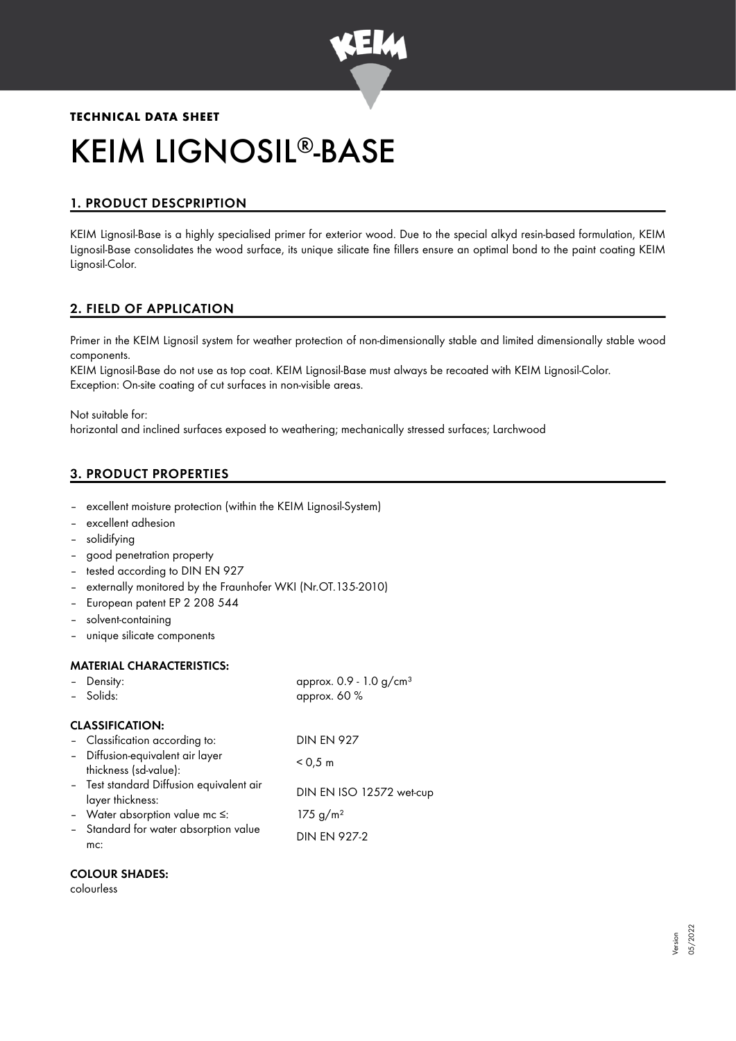

# **TECHNICAL DATA SHEET** KEIM LIGNOSIL®-BASE

# 1. PRODUCT DESCPRIPTION

KEIM Lignosil-Base is a highly specialised primer for exterior wood. Due to the special alkyd resin-based formulation, KEIM Lignosil-Base consolidates the wood surface, its unique silicate fine fillers ensure an optimal bond to the paint coating KEIM Lignosil-Color.

# 2. FIELD OF APPLICATION

Primer in the KEIM Lignosil system for weather protection of non-dimensionally stable and limited dimensionally stable wood components.

KEIM Lignosil-Base do not use as top coat. KEIM Lignosil-Base must always be recoated with KEIM Lignosil-Color. Exception: On-site coating of cut surfaces in non-visible areas.

Not suitable for:

horizontal and inclined surfaces exposed to weathering; mechanically stressed surfaces; Larchwood

# 3. PRODUCT PROPERTIES

- excellent moisture protection (within the KEIM Lignosil-System)
- excellent adhesion
- solidifying
- good penetration property
- tested according to DIN EN 927
- externally monitored by the Fraunhofer WKI (Nr.OT.135-2010)
- European patent EP 2 208 544
- solvent-containing
- unique silicate components

#### MATERIAL CHARACTERISTICS:

| - Density:                                                | approx. $0.9 - 1.0$ g/cm <sup>3</sup> |
|-----------------------------------------------------------|---------------------------------------|
| - Solids:                                                 | approx. 60 %                          |
| <b>CLASSIFICATION:</b>                                    |                                       |
| - Classification according to:                            | <b>DIN EN 927</b>                     |
| - Diffusion-equivalent air layer<br>thickness (sd-value): | < 0.5 m                               |
| - Test standard Diffusion equivalent air                  |                                       |
| layer thickness:                                          | DIN EN ISO 12572 wet-cup              |
| - Water absorption value mc $\leq$ :                      | 175 g/m <sup>2</sup>                  |
| - Standard for water absorption value<br>mc:              | <b>DIN EN 927-2</b>                   |
|                                                           |                                       |

#### COLOUR SHADES:

colourless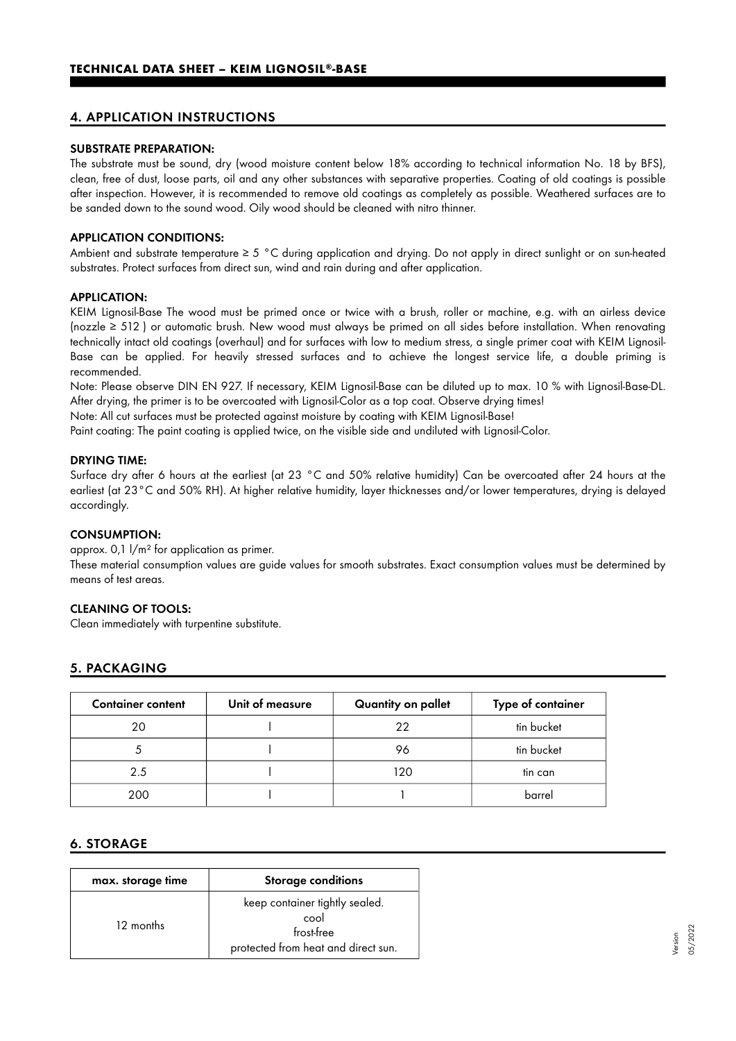## 4. APPLICATION INSTRUCTIONS

#### SUBSTRATE PREPARATION:

The substrate must be sound, dry (wood moisture content below 18% according to technical information No. 18 by BFS), clean, free of dust, loose parts, oil and any other substances with separative properties. Coating of old coatings is possible after inspection. However, it is recommended to remove old coatings as completely as possible. Weathered surfaces are to be sanded down to the sound wood. Oily wood should be cleaned with nitro thinner.

#### APPLICATION CONDITIONS:

Ambient and substrate temperature  $\geq 5$  °C during application and drying. Do not apply in direct sunlight or on sun-heated substrates. Protect surfaces from direct sun, wind and rain during and after application.

#### APPLICATION:

KEIM Lignosil-Base The wood must be primed once or twice with a brush, roller or machine, e.g. with an airless device (nozzle ≥ 512 ) or automatic brush. New wood must always be primed on all sides before installation. When renovating technically intact old coatings (overhaul) and for surfaces with low to medium stress, a single primer coat with KEIM Lignosil-Base can be applied. For heavily stressed surfaces and to achieve the longest service life, a double priming is recommended.

Note: Please observe DIN EN 927. If necessary, KEIM Lignosil-Base can be diluted up to max. 10 % with Lignosil-Base-DL. After drying, the primer is to be overcoated with Lignosil-Color as a top coat. Observe drying times!

Note: All cut surfaces must be protected against moisture by coating with KEIM Lignosil-Base!

Paint coating: The paint coating is applied twice, on the visible side and undiluted with Lignosil-Color.

#### DRYING TIME:

Surface dry after 6 hours at the earliest (at 23 °C and 50% relative humidity) Can be overcoated after 24 hours at the earliest (at 23°C and 50% RH). At higher relative humidity, layer thicknesses and/or lower temperatures, drying is delayed accordingly.

#### CONSUMPTION:

approx. 0,1 l/m² for application as primer.

These material consumption values are guide values for smooth substrates. Exact consumption values must be determined by means of test areas.

#### CLEANING OF TOOLS:

Clean immediately with turpentine substitute.

## 5. PACKAGING

| <b>Container content</b> | Unit of measure | Quantity on pallet | Type of container |
|--------------------------|-----------------|--------------------|-------------------|
| 20                       |                 | 22                 | tin bucket        |
|                          |                 | 96                 | tin bucket        |
| 2.5                      |                 | 120                | tin can           |
| 200                      |                 |                    | barrel            |

## 6. STORAGE

| max. storage time | <b>Storage conditions</b>                                                                   |
|-------------------|---------------------------------------------------------------------------------------------|
| 12 months         | keep container tightly sealed.<br>cool<br>frost-free<br>protected from heat and direct sun. |